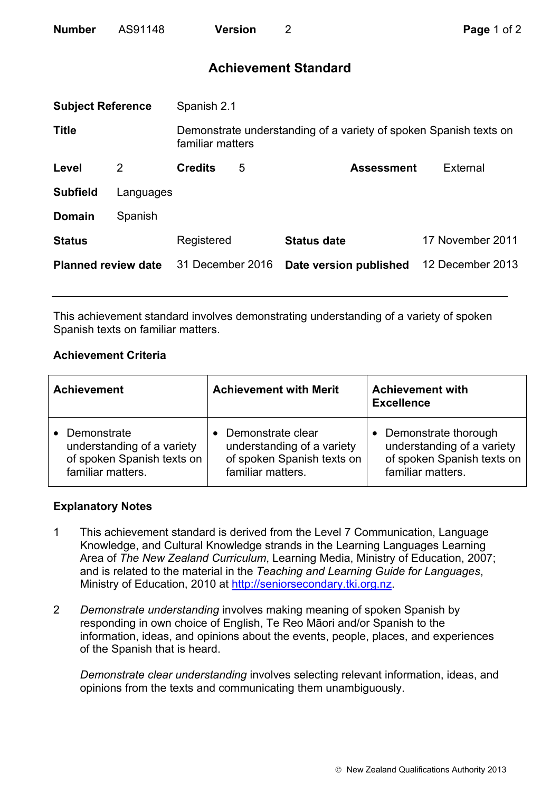| <b>Number</b> | AS91148 | <b>Version</b> |
|---------------|---------|----------------|
|               |         |                |

# **Achievement Standard**

| <b>Subject Reference</b>   |           | Spanish 2.1      |   |                                                                   |                  |
|----------------------------|-----------|------------------|---|-------------------------------------------------------------------|------------------|
| <b>Title</b>               |           | familiar matters |   | Demonstrate understanding of a variety of spoken Spanish texts on |                  |
| Level                      | 2         | <b>Credits</b>   | 5 | <b>Assessment</b>                                                 | External         |
| <b>Subfield</b>            | Languages |                  |   |                                                                   |                  |
| <b>Domain</b>              | Spanish   |                  |   |                                                                   |                  |
| <b>Status</b>              |           | Registered       |   | <b>Status date</b>                                                | 17 November 2011 |
| <b>Planned review date</b> |           | 31 December 2016 |   | Date version published                                            | 12 December 2013 |
|                            |           |                  |   |                                                                   |                  |

This achievement standard involves demonstrating understanding of a variety of spoken Spanish texts on familiar matters.

## **Achievement Criteria**

| <b>Achievement</b>         | <b>Achievement with Merit</b> | <b>Achievement with</b><br><b>Excellence</b> |
|----------------------------|-------------------------------|----------------------------------------------|
| Demonstrate                | Demonstrate clear             | • Demonstrate thorough                       |
| understanding of a variety | understanding of a variety    | understanding of a variety                   |
| of spoken Spanish texts on | of spoken Spanish texts on    | of spoken Spanish texts on                   |
| familiar matters.          | familiar matters.             | familiar matters.                            |

#### **Explanatory Notes**

- 1 This achievement standard is derived from the Level 7 Communication, Language Knowledge, and Cultural Knowledge strands in the Learning Languages Learning Area of *The New Zealand Curriculum*, Learning Media, Ministry of Education, 2007; and is related to the material in the *Teaching and Learning Guide for Languages*, Ministry of Education, 2010 at http://seniorsecondary.tki.org.nz.
- 2 *Demonstrate understanding* involves making meaning of spoken Spanish by responding in own choice of English, Te Reo Māori and/or Spanish to the information, ideas, and opinions about the events, people, places, and experiences of the Spanish that is heard.

*Demonstrate clear understanding* involves selecting relevant information, ideas, and opinions from the texts and communicating them unambiguously.